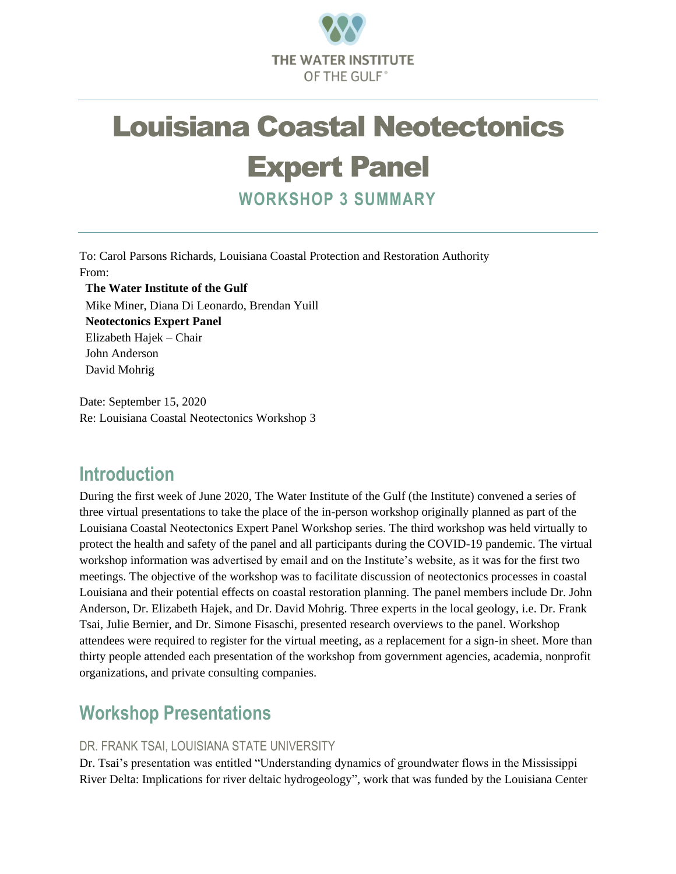

# Louisiana Coastal Neotectonics

## Expert Panel

**WORKSHOP 3 SUMMARY**

To: Carol Parsons Richards, Louisiana Coastal Protection and Restoration Authority From:

**The Water Institute of the Gulf** Mike Miner, Diana Di Leonardo, Brendan Yuill **Neotectonics Expert Panel** Elizabeth Hajek – Chair John Anderson David Mohrig

Date: September 15, 2020 Re: Louisiana Coastal Neotectonics Workshop 3

## **Introduction**

During the first week of June 2020, The Water Institute of the Gulf (the Institute) convened a series of three virtual presentations to take the place of the in-person workshop originally planned as part of the Louisiana Coastal Neotectonics Expert Panel Workshop series. The third workshop was held virtually to protect the health and safety of the panel and all participants during the COVID-19 pandemic. The virtual workshop information was advertised by email and on the Institute's website, as it was for the first two meetings. The objective of the workshop was to facilitate discussion of neotectonics processes in coastal Louisiana and their potential effects on coastal restoration planning. The panel members include Dr. John Anderson, Dr. Elizabeth Hajek, and Dr. David Mohrig. Three experts in the local geology, i.e. Dr. Frank Tsai, Julie Bernier, and Dr. Simone Fisaschi, presented research overviews to the panel. Workshop attendees were required to register for the virtual meeting, as a replacement for a sign-in sheet. More than thirty people attended each presentation of the workshop from government agencies, academia, nonprofit organizations, and private consulting companies.

## **Workshop Presentations**

#### DR. FRANK TSAI, LOUISIANA STATE UNIVERSITY

Dr. Tsai's presentation was entitled "Understanding dynamics of groundwater flows in the Mississippi River Delta: Implications for river deltaic hydrogeology", work that was funded by the Louisiana Center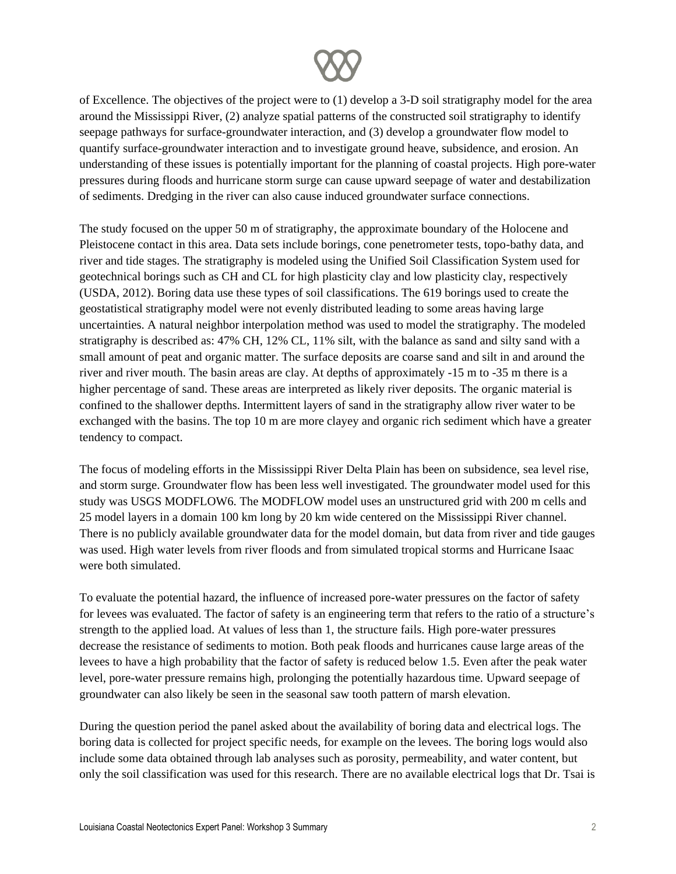

of Excellence. The objectives of the project were to (1) develop a 3-D soil stratigraphy model for the area around the Mississippi River, (2) analyze spatial patterns of the constructed soil stratigraphy to identify seepage pathways for surface-groundwater interaction, and (3) develop a groundwater flow model to quantify surface-groundwater interaction and to investigate ground heave, subsidence, and erosion. An understanding of these issues is potentially important for the planning of coastal projects. High pore-water pressures during floods and hurricane storm surge can cause upward seepage of water and destabilization of sediments. Dredging in the river can also cause induced groundwater surface connections.

The study focused on the upper 50 m of stratigraphy, the approximate boundary of the Holocene and Pleistocene contact in this area. Data sets include borings, cone penetrometer tests, topo-bathy data, and river and tide stages. The stratigraphy is modeled using the Unified Soil Classification System used for geotechnical borings such as CH and CL for high plasticity clay and low plasticity clay, respectively (USDA, 2012). Boring data use these types of soil classifications. The 619 borings used to create the geostatistical stratigraphy model were not evenly distributed leading to some areas having large uncertainties. A natural neighbor interpolation method was used to model the stratigraphy. The modeled stratigraphy is described as: 47% CH, 12% CL, 11% silt, with the balance as sand and silty sand with a small amount of peat and organic matter. The surface deposits are coarse sand and silt in and around the river and river mouth. The basin areas are clay. At depths of approximately -15 m to -35 m there is a higher percentage of sand. These areas are interpreted as likely river deposits. The organic material is confined to the shallower depths. Intermittent layers of sand in the stratigraphy allow river water to be exchanged with the basins. The top 10 m are more clayey and organic rich sediment which have a greater tendency to compact.

The focus of modeling efforts in the Mississippi River Delta Plain has been on subsidence, sea level rise, and storm surge. Groundwater flow has been less well investigated. The groundwater model used for this study was USGS MODFLOW6. The MODFLOW model uses an unstructured grid with 200 m cells and 25 model layers in a domain 100 km long by 20 km wide centered on the Mississippi River channel. There is no publicly available groundwater data for the model domain, but data from river and tide gauges was used. High water levels from river floods and from simulated tropical storms and Hurricane Isaac were both simulated.

To evaluate the potential hazard, the influence of increased pore-water pressures on the factor of safety for levees was evaluated. The factor of safety is an engineering term that refers to the ratio of a structure's strength to the applied load. At values of less than 1, the structure fails. High pore-water pressures decrease the resistance of sediments to motion. Both peak floods and hurricanes cause large areas of the levees to have a high probability that the factor of safety is reduced below 1.5. Even after the peak water level, pore-water pressure remains high, prolonging the potentially hazardous time. Upward seepage of groundwater can also likely be seen in the seasonal saw tooth pattern of marsh elevation.

During the question period the panel asked about the availability of boring data and electrical logs. The boring data is collected for project specific needs, for example on the levees. The boring logs would also include some data obtained through lab analyses such as porosity, permeability, and water content, but only the soil classification was used for this research. There are no available electrical logs that Dr. Tsai is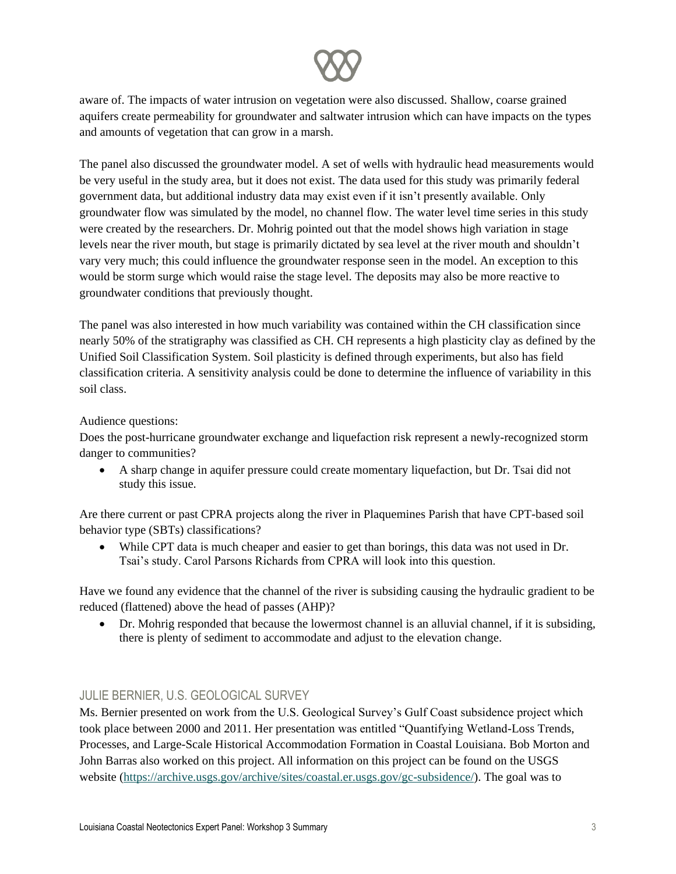

aware of. The impacts of water intrusion on vegetation were also discussed. Shallow, coarse grained aquifers create permeability for groundwater and saltwater intrusion which can have impacts on the types and amounts of vegetation that can grow in a marsh.

The panel also discussed the groundwater model. A set of wells with hydraulic head measurements would be very useful in the study area, but it does not exist. The data used for this study was primarily federal government data, but additional industry data may exist even if it isn't presently available. Only groundwater flow was simulated by the model, no channel flow. The water level time series in this study were created by the researchers. Dr. Mohrig pointed out that the model shows high variation in stage levels near the river mouth, but stage is primarily dictated by sea level at the river mouth and shouldn't vary very much; this could influence the groundwater response seen in the model. An exception to this would be storm surge which would raise the stage level. The deposits may also be more reactive to groundwater conditions that previously thought.

The panel was also interested in how much variability was contained within the CH classification since nearly 50% of the stratigraphy was classified as CH. CH represents a high plasticity clay as defined by the Unified Soil Classification System. Soil plasticity is defined through experiments, but also has field classification criteria. A sensitivity analysis could be done to determine the influence of variability in this soil class.

#### Audience questions:

Does the post-hurricane groundwater exchange and liquefaction risk represent a newly-recognized storm danger to communities?

• A sharp change in aquifer pressure could create momentary liquefaction, but Dr. Tsai did not study this issue.

Are there current or past CPRA projects along the river in Plaquemines Parish that have CPT-based soil behavior type (SBTs) classifications?

• While CPT data is much cheaper and easier to get than borings, this data was not used in Dr. Tsai's study. Carol Parsons Richards from CPRA will look into this question.

Have we found any evidence that the channel of the river is subsiding causing the hydraulic gradient to be reduced (flattened) above the head of passes (AHP)?

• Dr. Mohrig responded that because the lowermost channel is an alluvial channel, if it is subsiding, there is plenty of sediment to accommodate and adjust to the elevation change.

#### JULIE BERNIER, U.S. GEOLOGICAL SURVEY

Ms. Bernier presented on work from the U.S. Geological Survey's Gulf Coast subsidence project which took place between 2000 and 2011. Her presentation was entitled "Quantifying Wetland-Loss Trends, Processes, and Large-Scale Historical Accommodation Formation in Coastal Louisiana. Bob Morton and John Barras also worked on this project. All information on this project can be found on the USGS website [\(https://archive.usgs.gov/archive/sites/coastal.er.usgs.gov/gc-subsidence/\)](https://archive.usgs.gov/archive/sites/coastal.er.usgs.gov/gc-subsidence/). The goal was to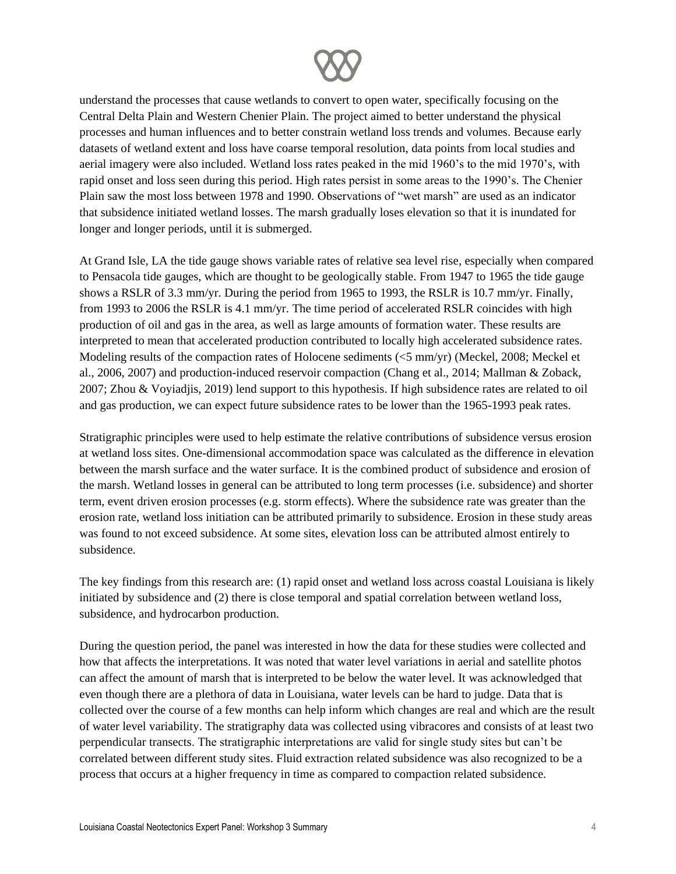

understand the processes that cause wetlands to convert to open water, specifically focusing on the Central Delta Plain and Western Chenier Plain. The project aimed to better understand the physical processes and human influences and to better constrain wetland loss trends and volumes. Because early datasets of wetland extent and loss have coarse temporal resolution, data points from local studies and aerial imagery were also included. Wetland loss rates peaked in the mid 1960's to the mid 1970's, with rapid onset and loss seen during this period. High rates persist in some areas to the 1990's. The Chenier Plain saw the most loss between 1978 and 1990. Observations of "wet marsh" are used as an indicator that subsidence initiated wetland losses. The marsh gradually loses elevation so that it is inundated for longer and longer periods, until it is submerged.

At Grand Isle, LA the tide gauge shows variable rates of relative sea level rise, especially when compared to Pensacola tide gauges, which are thought to be geologically stable. From 1947 to 1965 the tide gauge shows a RSLR of 3.3 mm/yr. During the period from 1965 to 1993, the RSLR is 10.7 mm/yr. Finally, from 1993 to 2006 the RSLR is 4.1 mm/yr. The time period of accelerated RSLR coincides with high production of oil and gas in the area, as well as large amounts of formation water. These results are interpreted to mean that accelerated production contributed to locally high accelerated subsidence rates. Modeling results of the compaction rates of Holocene sediments (<5 mm/yr) (Meckel, 2008; Meckel et al., 2006, 2007) and production-induced reservoir compaction (Chang et al., 2014; Mallman & Zoback, 2007; Zhou & Voyiadjis, 2019) lend support to this hypothesis. If high subsidence rates are related to oil and gas production, we can expect future subsidence rates to be lower than the 1965-1993 peak rates.

Stratigraphic principles were used to help estimate the relative contributions of subsidence versus erosion at wetland loss sites. One-dimensional accommodation space was calculated as the difference in elevation between the marsh surface and the water surface. It is the combined product of subsidence and erosion of the marsh. Wetland losses in general can be attributed to long term processes (i.e. subsidence) and shorter term, event driven erosion processes (e.g. storm effects). Where the subsidence rate was greater than the erosion rate, wetland loss initiation can be attributed primarily to subsidence. Erosion in these study areas was found to not exceed subsidence. At some sites, elevation loss can be attributed almost entirely to subsidence.

The key findings from this research are: (1) rapid onset and wetland loss across coastal Louisiana is likely initiated by subsidence and (2) there is close temporal and spatial correlation between wetland loss, subsidence, and hydrocarbon production.

During the question period, the panel was interested in how the data for these studies were collected and how that affects the interpretations. It was noted that water level variations in aerial and satellite photos can affect the amount of marsh that is interpreted to be below the water level. It was acknowledged that even though there are a plethora of data in Louisiana, water levels can be hard to judge. Data that is collected over the course of a few months can help inform which changes are real and which are the result of water level variability. The stratigraphy data was collected using vibracores and consists of at least two perpendicular transects. The stratigraphic interpretations are valid for single study sites but can't be correlated between different study sites. Fluid extraction related subsidence was also recognized to be a process that occurs at a higher frequency in time as compared to compaction related subsidence.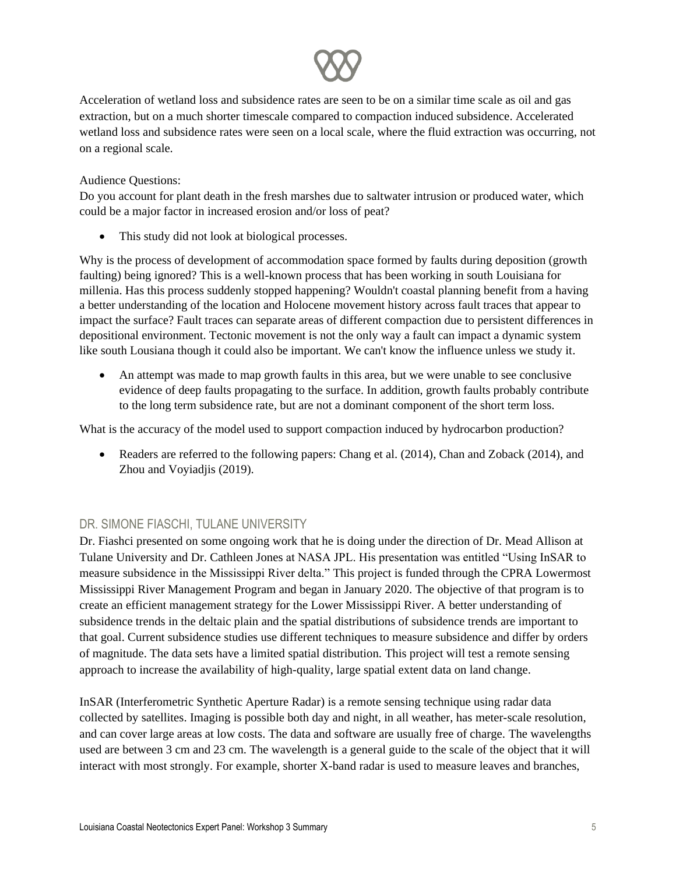

Acceleration of wetland loss and subsidence rates are seen to be on a similar time scale as oil and gas extraction, but on a much shorter timescale compared to compaction induced subsidence. Accelerated wetland loss and subsidence rates were seen on a local scale, where the fluid extraction was occurring, not on a regional scale.

#### Audience Questions:

Do you account for plant death in the fresh marshes due to saltwater intrusion or produced water, which could be a major factor in increased erosion and/or loss of peat?

This study did not look at biological processes.

Why is the process of development of accommodation space formed by faults during deposition (growth faulting) being ignored? This is a well-known process that has been working in south Louisiana for millenia. Has this process suddenly stopped happening? Wouldn't coastal planning benefit from a having a better understanding of the location and Holocene movement history across fault traces that appear to impact the surface? Fault traces can separate areas of different compaction due to persistent differences in depositional environment. Tectonic movement is not the only way a fault can impact a dynamic system like south Lousiana though it could also be important. We can't know the influence unless we study it.

• An attempt was made to map growth faults in this area, but we were unable to see conclusive evidence of deep faults propagating to the surface. In addition, growth faults probably contribute to the long term subsidence rate, but are not a dominant component of the short term loss.

What is the accuracy of the model used to support compaction induced by hydrocarbon production?

• Readers are referred to the following papers: Chang et al. (2014), Chan and Zoback (2014), and Zhou and Voyiadjis (2019).

#### DR. SIMONE FIASCHI, TULANE UNIVERSITY

Dr. Fiashci presented on some ongoing work that he is doing under the direction of Dr. Mead Allison at Tulane University and Dr. Cathleen Jones at NASA JPL. His presentation was entitled "Using InSAR to measure subsidence in the Mississippi River delta." This project is funded through the CPRA Lowermost Mississippi River Management Program and began in January 2020. The objective of that program is to create an efficient management strategy for the Lower Mississippi River. A better understanding of subsidence trends in the deltaic plain and the spatial distributions of subsidence trends are important to that goal. Current subsidence studies use different techniques to measure subsidence and differ by orders of magnitude. The data sets have a limited spatial distribution. This project will test a remote sensing approach to increase the availability of high-quality, large spatial extent data on land change.

InSAR (Interferometric Synthetic Aperture Radar) is a remote sensing technique using radar data collected by satellites. Imaging is possible both day and night, in all weather, has meter-scale resolution, and can cover large areas at low costs. The data and software are usually free of charge. The wavelengths used are between 3 cm and 23 cm. The wavelength is a general guide to the scale of the object that it will interact with most strongly. For example, shorter X-band radar is used to measure leaves and branches,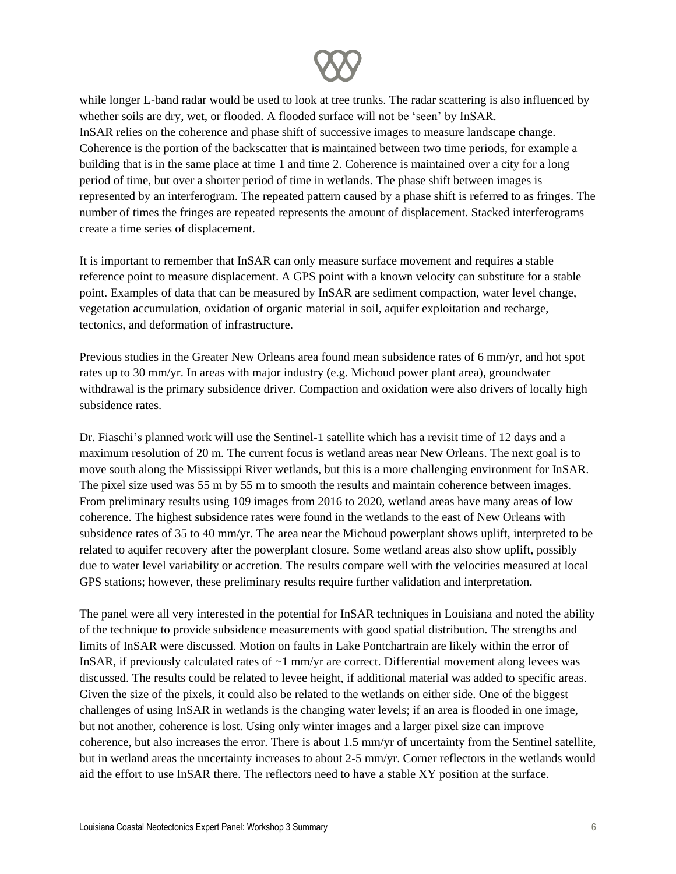

while longer L-band radar would be used to look at tree trunks. The radar scattering is also influenced by whether soils are dry, wet, or flooded. A flooded surface will not be 'seen' by InSAR. InSAR relies on the coherence and phase shift of successive images to measure landscape change. Coherence is the portion of the backscatter that is maintained between two time periods, for example a building that is in the same place at time 1 and time 2. Coherence is maintained over a city for a long period of time, but over a shorter period of time in wetlands. The phase shift between images is represented by an interferogram. The repeated pattern caused by a phase shift is referred to as fringes. The number of times the fringes are repeated represents the amount of displacement. Stacked interferograms create a time series of displacement.

It is important to remember that InSAR can only measure surface movement and requires a stable reference point to measure displacement. A GPS point with a known velocity can substitute for a stable point. Examples of data that can be measured by InSAR are sediment compaction, water level change, vegetation accumulation, oxidation of organic material in soil, aquifer exploitation and recharge, tectonics, and deformation of infrastructure.

Previous studies in the Greater New Orleans area found mean subsidence rates of 6 mm/yr, and hot spot rates up to 30 mm/yr. In areas with major industry (e.g. Michoud power plant area), groundwater withdrawal is the primary subsidence driver. Compaction and oxidation were also drivers of locally high subsidence rates.

Dr. Fiaschi's planned work will use the Sentinel-1 satellite which has a revisit time of 12 days and a maximum resolution of 20 m. The current focus is wetland areas near New Orleans. The next goal is to move south along the Mississippi River wetlands, but this is a more challenging environment for InSAR. The pixel size used was 55 m by 55 m to smooth the results and maintain coherence between images. From preliminary results using 109 images from 2016 to 2020, wetland areas have many areas of low coherence. The highest subsidence rates were found in the wetlands to the east of New Orleans with subsidence rates of 35 to 40 mm/yr. The area near the Michoud powerplant shows uplift, interpreted to be related to aquifer recovery after the powerplant closure. Some wetland areas also show uplift, possibly due to water level variability or accretion. The results compare well with the velocities measured at local GPS stations; however, these preliminary results require further validation and interpretation.

The panel were all very interested in the potential for InSAR techniques in Louisiana and noted the ability of the technique to provide subsidence measurements with good spatial distribution. The strengths and limits of InSAR were discussed. Motion on faults in Lake Pontchartrain are likely within the error of InSAR, if previously calculated rates of  $\sim$ 1 mm/yr are correct. Differential movement along levees was discussed. The results could be related to levee height, if additional material was added to specific areas. Given the size of the pixels, it could also be related to the wetlands on either side. One of the biggest challenges of using InSAR in wetlands is the changing water levels; if an area is flooded in one image, but not another, coherence is lost. Using only winter images and a larger pixel size can improve coherence, but also increases the error. There is about 1.5 mm/yr of uncertainty from the Sentinel satellite, but in wetland areas the uncertainty increases to about 2-5 mm/yr. Corner reflectors in the wetlands would aid the effort to use InSAR there. The reflectors need to have a stable XY position at the surface.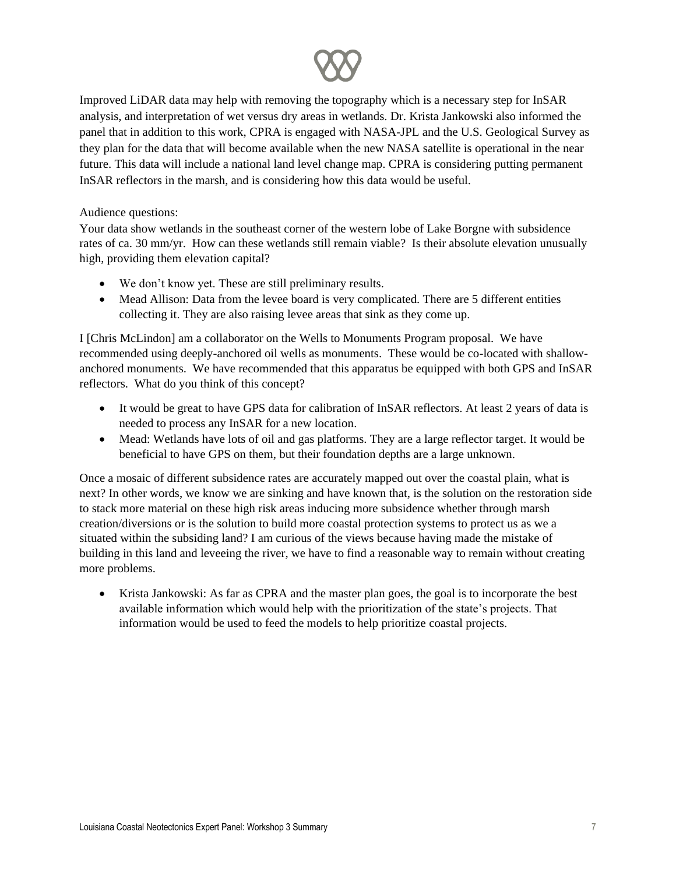

Improved LiDAR data may help with removing the topography which is a necessary step for InSAR analysis, and interpretation of wet versus dry areas in wetlands. Dr. Krista Jankowski also informed the panel that in addition to this work, CPRA is engaged with NASA-JPL and the U.S. Geological Survey as they plan for the data that will become available when the new NASA satellite is operational in the near future. This data will include a national land level change map. CPRA is considering putting permanent InSAR reflectors in the marsh, and is considering how this data would be useful.

Audience questions:

Your data show wetlands in the southeast corner of the western lobe of Lake Borgne with subsidence rates of ca. 30 mm/yr. How can these wetlands still remain viable? Is their absolute elevation unusually high, providing them elevation capital?

- We don't know yet. These are still preliminary results.
- Mead Allison: Data from the levee board is very complicated. There are 5 different entities collecting it. They are also raising levee areas that sink as they come up.

I [Chris McLindon] am a collaborator on the Wells to Monuments Program proposal. We have recommended using deeply-anchored oil wells as monuments. These would be co-located with shallowanchored monuments. We have recommended that this apparatus be equipped with both GPS and InSAR reflectors. What do you think of this concept?

- It would be great to have GPS data for calibration of InSAR reflectors. At least 2 years of data is needed to process any InSAR for a new location.
- Mead: Wetlands have lots of oil and gas platforms. They are a large reflector target. It would be beneficial to have GPS on them, but their foundation depths are a large unknown.

Once a mosaic of different subsidence rates are accurately mapped out over the coastal plain, what is next? In other words, we know we are sinking and have known that, is the solution on the restoration side to stack more material on these high risk areas inducing more subsidence whether through marsh creation/diversions or is the solution to build more coastal protection systems to protect us as we a situated within the subsiding land? I am curious of the views because having made the mistake of building in this land and leveeing the river, we have to find a reasonable way to remain without creating more problems.

• Krista Jankowski: As far as CPRA and the master plan goes, the goal is to incorporate the best available information which would help with the prioritization of the state's projects. That information would be used to feed the models to help prioritize coastal projects.